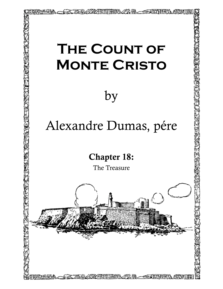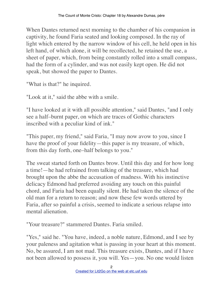When Dantes returned next morning to the chamber of his companion in captivity, he found Faria seated and looking composed. In the ray of light which entered by the narrow window of his cell, he held open in his left hand, of which alone, it will be recollected, he retained the use, a sheet of paper, which, from being constantly rolled into a small compass, had the form of a cylinder, and was not easily kept open. He did not speak, but showed the paper to Dantes.

"What is that?" he inquired.

"Look at it," said the abbe with a smile.

"I have looked at it with all possible attention," said Dantes, "and I only see a half–burnt paper, on which are traces of Gothic characters inscribed with a peculiar kind of ink."

"This paper, my friend," said Faria, "I may now avow to you, since I have the proof of your fidelity—this paper is my treasure, of which, from this day forth, one–half belongs to you."

The sweat started forth on Dantes brow. Until this day and for how long a time!—he had refrained from talking of the treasure, which had brought upon the abbe the accusation of madness. With his instinctive delicacy Edmond had preferred avoiding any touch on this painful chord, and Faria had been equally silent. He had taken the silence of the old man for a return to reason; and now these few words uttered by Faria, after so painful a crisis, seemed to indicate a serious relapse into mental alienation.

"Your treasure?" stammered Dantes. Faria smiled.

"Yes," said he. "You have, indeed, a noble nature, Edmond, and I see by your paleness and agitation what is passing in your heart at this moment. No, be assured, I am not mad. This treasure exists, Dantes, and if I have not been allowed to possess it, you will. Yes—you. No one would listen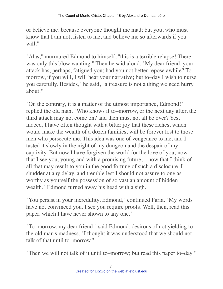or believe me, because everyone thought me mad; but you, who must know that I am not, listen to me, and believe me so afterwards if you will."

"Alas," murmured Edmond to himself, "this is a terrible relapse! There was only this blow wanting." Then he said aloud, "My dear friend, your attack has, perhaps, fatigued you; had you not better repose awhile? To– morrow, if you will, I will hear your narrative; but to–day I wish to nurse you carefully. Besides," he said, "a treasure is not a thing we need hurry about."

"On the contrary, it is a matter of the utmost importance, Edmond!" replied the old man. "Who knows if to–morrow, or the next day after, the third attack may not come on? and then must not all be over? Yes, indeed, I have often thought with a bitter joy that these riches, which would make the wealth of a dozen families, will be forever lost to those men who persecute me. This idea was one of vengeance to me, and I tasted it slowly in the night of my dungeon and the despair of my captivity. But now I have forgiven the world for the love of you; now that I see you, young and with a promising future,—now that I think of all that may result to you in the good fortune of such a disclosure, I shudder at any delay, and tremble lest I should not assure to one as worthy as yourself the possession of so vast an amount of hidden wealth." Edmond turned away his head with a sigh.

"You persist in your incredulity, Edmond," continued Faria. "My words have not convinced you. I see you require proofs. Well, then, read this paper, which I have never shown to any one."

"To–morrow, my dear friend," said Edmond, desirous of not yielding to the old man's madness. "I thought it was understood that we should not talk of that until to–morrow."

"Then we will not talk of it until to–morrow; but read this paper to–day."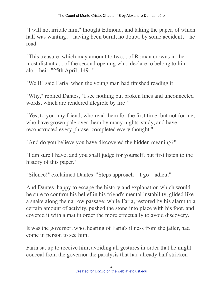"I will not irritate him," thought Edmond, and taking the paper, of which half was wanting,—having been burnt, no doubt, by some accident,—he read:—

"This treasure, which may amount to two... of Roman crowns in the most distant a... of the second opening wh... declare to belong to him alo... heir. "25th April, 149–"

"Well!" said Faria, when the young man had finished reading it.

"Why," replied Dantes, "I see nothing but broken lines and unconnected words, which are rendered illegible by fire."

"Yes, to you, my friend, who read them for the first time; but not for me, who have grown pale over them by many nights' study, and have reconstructed every phrase, completed every thought."

"And do you believe you have discovered the hidden meaning?"

"I am sure I have, and you shall judge for yourself; but first listen to the history of this paper."

"Silence!" exclaimed Dantes. "Steps approach—I go—adieu."

And Dantes, happy to escape the history and explanation which would be sure to confirm his belief in his friend's mental instability, glided like a snake along the narrow passage; while Faria, restored by his alarm to a certain amount of activity, pushed the stone into place with his foot, and covered it with a mat in order the more effectually to avoid discovery.

It was the governor, who, hearing of Faria's illness from the jailer, had come in person to see him.

Faria sat up to receive him, avoiding all gestures in order that he might conceal from the governor the paralysis that had already half stricken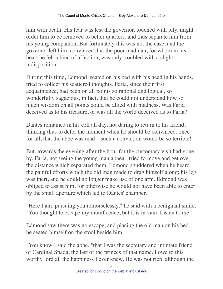him with death. His fear was lest the governor, touched with pity, might order him to be removed to better quarters, and thus separate him from his young companion. But fortunately this was not the case, and the governor left him, convinced that the poor madman, for whom in his heart he felt a kind of affection, was only troubled with a slight indisposition.

During this time, Edmond, seated on his bed with his head in his hands, tried to collect his scattered thoughts. Faria, since their first acquaintance, had been on all points so rational and logical, so wonderfully sagacious, in fact, that he could not understand how so much wisdom on all points could be allied with madness. Was Faria deceived as to his treasure, or was all the world deceived as to Faria?

Dantes remained in his cell all day, not daring to return to his friend, thinking thus to defer the moment when he should be convinced, once for all, that the abbe was mad—such a conviction would be so terrible!

But, towards the evening after the hour for the customary visit had gone by, Faria, not seeing the young man appear, tried to move and get over the distance which separated them. Edmond shuddered when he heard the painful efforts which the old man made to drag himself along; his leg was inert, and he could no longer make use of one arm. Edmond was obliged to assist him, for otherwise he would not have been able to enter by the small aperture which led to Dantes' chamber.

"Here I am, pursuing you remorselessly," he said with a benignant smile. "You thought to escape my munificence, but it is in vain. Listen to me."

Edmond saw there was no escape, and placing the old man on his bed, he seated himself on the stool beside him.

"You know," said the abbe, "that I was the secretary and intimate friend of Cardinal Spada, the last of the princes of that name. I owe to this worthy lord all the happiness I ever knew. He was not rich, although the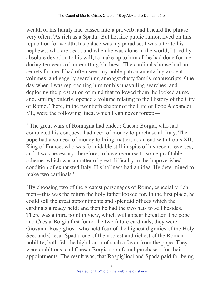wealth of his family had passed into a proverb, and I heard the phrase very often, 'As rich as a Spada.' But he, like public rumor, lived on this reputation for wealth; his palace was my paradise. I was tutor to his nephews, who are dead; and when he was alone in the world, I tried by absolute devotion to his will, to make up to him all he had done for me during ten years of unremitting kindness. The cardinal's house had no secrets for me. I had often seen my noble patron annotating ancient volumes, and eagerly searching amongst dusty family manuscripts. One day when I was reproaching him for his unavailing searches, and deploring the prostration of mind that followed them, he looked at me, and, smiling bitterly, opened a volume relating to the History of the City of Rome. There, in the twentieth chapter of the Life of Pope Alexander VI., were the following lines, which I can never forget:—

"'The great wars of Romagna had ended; Caesar Borgia, who had completed his conquest, had need of money to purchase all Italy. The pope had also need of money to bring matters to an end with Louis XII. King of France, who was formidable still in spite of his recent reverses; and it was necessary, therefore, to have recourse to some profitable scheme, which was a matter of great difficulty in the impoverished condition of exhausted Italy. His holiness had an idea. He determined to make two cardinals.'

"By choosing two of the greatest personages of Rome, especially rich men—this was the return the holy father looked for. In the first place, he could sell the great appointments and splendid offices which the cardinals already held; and then he had the two hats to sell besides. There was a third point in view, which will appear hereafter. The pope and Caesar Borgia first found the two future cardinals; they were Giovanni Rospigliosi, who held four of the highest dignities of the Holy See, and Caesar Spada, one of the noblest and richest of the Roman nobility; both felt the high honor of such a favor from the pope. They were ambitious, and Caesar Borgia soon found purchasers for their appointments. The result was, that Rospigliosi and Spada paid for being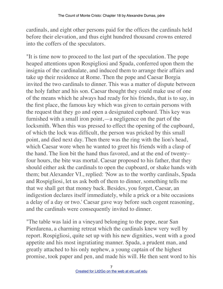cardinals, and eight other persons paid for the offices the cardinals held before their elevation, and thus eight hundred thousand crowns entered into the coffers of the speculators.

"It is time now to proceed to the last part of the speculation. The pope heaped attentions upon Rospigliosi and Spada, conferred upon them the insignia of the cardinalate, and induced them to arrange their affairs and take up their residence at Rome. Then the pope and Caesar Borgia invited the two cardinals to dinner. This was a matter of dispute between the holy father and his son. Caesar thought they could make use of one of the means which he always had ready for his friends, that is to say, in the first place, the famous key which was given to certain persons with the request that they go and open a designated cupboard. This key was furnished with a small iron point,—a negligence on the part of the locksmith. When this was pressed to effect the opening of the cupboard, of which the lock was difficult, the person was pricked by this small point, and died next day. Then there was the ring with the lion's head, which Caesar wore when he wanted to greet his friends with a clasp of the hand. The lion bit the hand thus favored, and at the end of twenty– four hours, the bite was mortal. Caesar proposed to his father, that they should either ask the cardinals to open the cupboard, or shake hands with them; but Alexander VI., replied: 'Now as to the worthy cardinals, Spada and Rospigliosi, let us ask both of them to dinner, something tells me that we shall get that money back. Besides, you forget, Caesar, an indigestion declares itself immediately, while a prick or a bite occasions a delay of a day or two.' Caesar gave way before such cogent reasoning, and the cardinals were consequently invited to dinner.

"The table was laid in a vineyard belonging to the pope, near San Pierdarena, a charming retreat which the cardinals knew very well by report. Rospigliosi, quite set up with his new dignities, went with a good appetite and his most ingratiating manner. Spada, a prudent man, and greatly attached to his only nephew, a young captain of the highest promise, took paper and pen, and made his will. He then sent word to his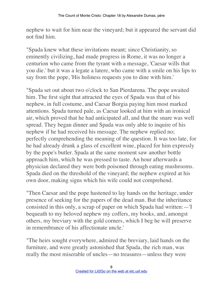nephew to wait for him near the vineyard; but it appeared the servant did not find him.

"Spada knew what these invitations meant; since Christianity, so eminently civilizing, had made progress in Rome, it was no longer a centurion who came from the tyrant with a message, 'Caesar wills that you die.' but it was a legate a latere, who came with a smile on his lips to say from the pope, 'His holiness requests you to dine with him.'

"Spada set out about two o'clock to San Pierdarena. The pope awaited him. The first sight that attracted the eyes of Spada was that of his nephew, in full costume, and Caesar Borgia paying him most marked attentions. Spada turned pale, as Caesar looked at him with an ironical air, which proved that he had anticipated all, and that the snare was well spread. They began dinner and Spada was only able to inquire of his nephew if he had received his message. The nephew replied no; perfectly comprehending the meaning of the question. It was too late, for he had already drunk a glass of excellent wine, placed for him expressly by the pope's butler. Spada at the same moment saw another bottle approach him, which he was pressed to taste. An hour afterwards a physician declared they were both poisoned through eating mushrooms. Spada died on the threshold of the vineyard; the nephew expired at his own door, making signs which his wife could not comprehend.

"Then Caesar and the pope hastened to lay hands on the heritage, under presence of seeking for the papers of the dead man. But the inheritance consisted in this only, a scrap of paper on which Spada had written:—'I bequeath to my beloved nephew my coffers, my books, and, amongst others, my breviary with the gold corners, which I beg he will preserve in remembrance of his affectionate uncle.'

"The heirs sought everywhere, admired the breviary, laid hands on the furniture, and were greatly astonished that Spada, the rich man, was really the most miserable of uncles—no treasures—unless they were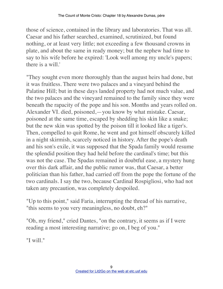those of science, contained in the library and laboratories. That was all. Caesar and his father searched, examined, scrutinized, but found nothing, or at least very little; not exceeding a few thousand crowns in plate, and about the same in ready money; but the nephew had time to say to his wife before he expired: 'Look well among my uncle's papers; there is a will.'

"They sought even more thoroughly than the august heirs had done, but it was fruitless. There were two palaces and a vineyard behind the Palatine Hill; but in these days landed property had not much value, and the two palaces and the vineyard remained to the family since they were beneath the rapacity of the pope and his son. Months and years rolled on. Alexander VI. died, poisoned,—you know by what mistake. Caesar, poisoned at the same time, escaped by shedding his skin like a snake; but the new skin was spotted by the poison till it looked like a tiger's. Then, compelled to quit Rome, he went and got himself obscurely killed in a night skirmish, scarcely noticed in history. After the pope's death and his son's exile, it was supposed that the Spada family would resume the splendid position they had held before the cardinal's time; but this was not the case. The Spadas remained in doubtful ease, a mystery hung over this dark affair, and the public rumor was, that Caesar, a better politician than his father, had carried off from the pope the fortune of the two cardinals. I say the two, because Cardinal Rospigliosi, who had not taken any precaution, was completely despoiled.

"Up to this point," said Faria, interrupting the thread of his narrative, "this seems to you very meaningless, no doubt, eh?"

"Oh, my friend," cried Dantes, "on the contrary, it seems as if I were reading a most interesting narrative; go on, I beg of you."

"I will."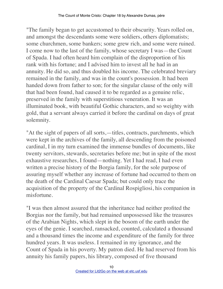"The family began to get accustomed to their obscurity. Years rolled on, and amongst the descendants some were soldiers, others diplomatists; some churchmen, some bankers; some grew rich, and some were ruined. I come now to the last of the family, whose secretary I was—the Count of Spada. I had often heard him complain of the disproportion of his rank with his fortune; and I advised him to invest all he had in an annuity. He did so, and thus doubled his income. The celebrated breviary remained in the family, and was in the count's possession. It had been handed down from father to son; for the singular clause of the only will that had been found, had caused it to be regarded as a genuine relic, preserved in the family with superstitious veneration. It was an illuminated book, with beautiful Gothic characters, and so weighty with gold, that a servant always carried it before the cardinal on days of great solemnity.

"At the sight of papers of all sorts,—titles, contracts, parchments, which were kept in the archives of the family, all descending from the poisoned cardinal, I in my turn examined the immense bundles of documents, like twenty servitors, stewards, secretaries before me; but in spite of the most exhaustive researches, I found—nothing. Yet I had read, I had even written a precise history of the Borgia family, for the sole purpose of assuring myself whether any increase of fortune had occurred to them on the death of the Cardinal Caesar Spada; but could only trace the acquisition of the property of the Cardinal Rospigliosi, his companion in misfortune.

"I was then almost assured that the inheritance had neither profited the Borgias nor the family, but had remained unpossessed like the treasures of the Arabian Nights, which slept in the bosom of the earth under the eyes of the genie. I searched, ransacked, counted, calculated a thousand and a thousand times the income and expenditure of the family for three hundred years. It was useless. I remained in my ignorance, and the Count of Spada in his poverty. My patron died. He had reserved from his annuity his family papers, his library, composed of five thousand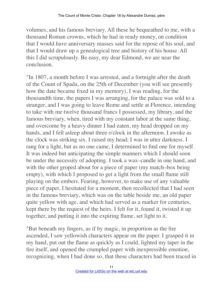volumes, and his famous breviary. All these he bequeathed to me, with a thousand Roman crowns, which he had in ready money, on condition that I would have anniversary masses said for the repose of his soul, and that I would draw up a genealogical tree and history of his house. All this I did scrupulously. Be easy, my dear Edmond, we are near the conclusion.

"In 1807, a month before I was arrested, and a fortnight after the death of the Count of Spada, on the 25th of December (you will see presently how the date became fixed in my memory), I was reading, for the thousandth time, the papers I was arranging, for the palace was sold to a stranger, and I was going to leave Rome and settle at Florence, intending to take with me twelve thousand francs I possessed, my library, and the famous breviary, when, tired with my constant labor at the same thing, and overcome by a heavy dinner I had eaten, my head dropped on my hands, and I fell asleep about three o'clock in the afternoon. I awoke as the clock was striking six. I raised my head; I was in utter darkness. I rang for a light, but as no one came, I determined to find one for myself. It was indeed but anticipating the simple manners which I should soon be under the necessity of adopting. I took a wax–candle in one hand, and with the other groped about for a piece of paper (my match–box being empty), with which I proposed to get a light from the small flame still playing on the embers. Fearing, however, to make use of any valuable piece of paper, I hesitated for a moment, then recollected that I had seen in the famous breviary, which was on the table beside me, an old paper quite yellow with age, and which had served as a marker for centuries, kept there by the request of the heirs. I felt for it, found it, twisted it up together, and putting it into the expiring flame, set light to it.

"But beneath my fingers, as if by magic, in proportion as the fire ascended, I saw yellowish characters appear on the paper. I grasped it in my hand, put out the flame as quickly as I could, lighted my taper in the fire itself, and opened the crumpled paper with inexpressible emotion, recognizing, when I had done so, that these characters had been traced in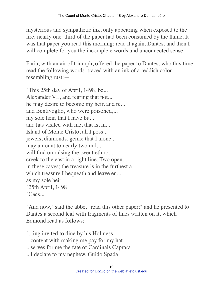mysterious and sympathetic ink, only appearing when exposed to the fire; nearly one–third of the paper had been consumed by the flame. It was that paper you read this morning; read it again, Dantes, and then I will complete for you the incomplete words and unconnected sense."

Faria, with an air of triumph, offered the paper to Dantes, who this time read the following words, traced with an ink of a reddish color resembling rust:—

"This 25th day of April, 1498, be... Alexander VI., and fearing that not... he may desire to become my heir, and re... and Bentivoglio, who were poisoned,... my sole heir, that I have bu... and has visited with me, that is, in... Island of Monte Cristo, all I poss... jewels, diamonds, gems; that I alone... may amount to nearly two mil... will find on raising the twentieth ro... creek to the east in a right line. Two open... in these caves; the treasure is in the furthest a... which treasure I bequeath and leave en... as my sole heir. "25th April, 1498. "Caes...

"And now," said the abbe, "read this other paper;" and he presented to Dantes a second leaf with fragments of lines written on it, which Edmond read as follows:—

"...ing invited to dine by his Holiness

...content with making me pay for my hat,

...serves for me the fate of Cardinals Caprara

...I declare to my nephew, Guido Spada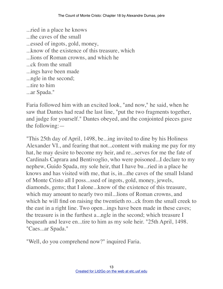...ried in a place he knows ...the caves of the small ...essed of ingots, gold, money, ...know of the existence of this treasure, which ...lions of Roman crowns, and which he ...ck from the small ...ings have been made ...ngle in the second; ...tire to him ...ar Spada."

Faria followed him with an excited look, "and now," he said, when he saw that Dantes had read the last line, "put the two fragments together, and judge for yourself." Dantes obeyed, and the conjointed pieces gave the following:—

"This 25th day of April, 1498, be...ing invited to dine by his Holiness Alexander VI., and fearing that not...content with making me pay for my hat, he may desire to become my heir, and re...serves for me the fate of Cardinals Caprara and Bentivoglio, who were poisoned...I declare to my nephew, Guido Spada, my sole heir, that I have bu...ried in a place he knows and has visited with me, that is, in...the caves of the small Island of Monte Cristo all I poss...ssed of ingots, gold, money, jewels, diamonds, gems; that I alone...know of the existence of this treasure, which may amount to nearly two mil...lions of Roman crowns, and which he will find on raising the twentieth ro...ck from the small creek to the east in a right line. Two open...ings have been made in these caves; the treasure is in the furthest a...ngle in the second; which treasure I bequeath and leave en...tire to him as my sole heir. "25th April, 1498. "Caes...ar Spada."

"Well, do you comprehend now?" inquired Faria.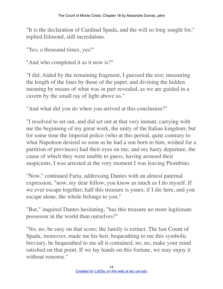"It is the declaration of Cardinal Spada, and the will so long sought for," replied Edmond, still incredulous.

"Yes; a thousand times, yes!"

"And who completed it as it now is?"

"I did. Aided by the remaining fragment, I guessed the rest; measuring the length of the lines by those of the paper, and divining the hidden meaning by means of what was in part revealed, as we are guided in a cavern by the small ray of light above us."

"And what did you do when you arrived at this conclusion?"

"I resolved to set out, and did set out at that very instant, carrying with me the beginning of my great work, the unity of the Italian kingdom; but for some time the imperial police (who at this period, quite contrary to what Napoleon desired so soon as he had a son born to him, wished for a partition of provinces) had their eyes on me; and my hasty departure, the cause of which they were unable to guess, having aroused their suspicions, I was arrested at the very moment I was leaving Piombino.

"Now," continued Faria, addressing Dantes with an almost paternal expression, "now, my dear fellow, you know as much as I do myself. If we ever escape together, half this treasure is yours; if I die here, and you escape alone, the whole belongs to you."

"But," inquired Dantes hesitating, "has this treasure no more legitimate possessor in the world than ourselves?"

"No, no, be easy on that score; the family is extinct. The last Count of Spada, moreover, made me his heir, bequeathing to me this symbolic breviary, he bequeathed to me all it contained; no, no, make your mind satisfied on that point. If we lay hands on this fortune, we may enjoy it without remorse."